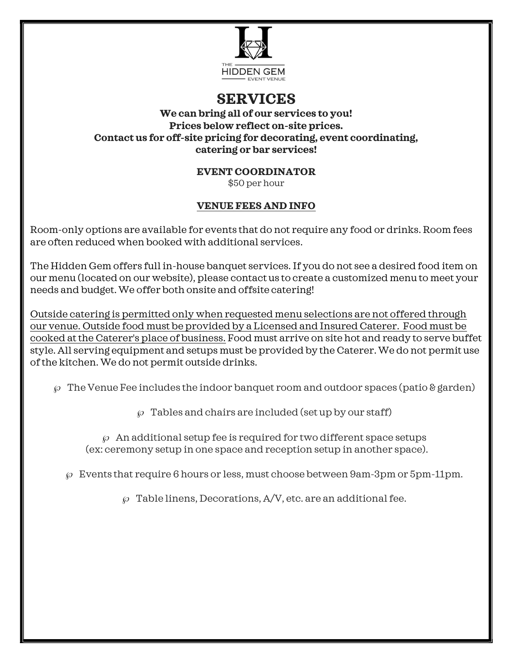

# SERVICES

We can bring all of our services to you! Prices below reflect on-site prices. Contact us for off-site pricing for decorating, event coordinating, catering or bar services!

EVENT COORDINATOR

\$50 per hour

## VENUE FEES AND INFO

Room-only options are available for events that do not require any food or drinks. Room fees are often reduced when booked with additional services.

The Hidden Gem offers full in-house banquet services. If you do not see a desired food item on our menu (located on our website), please contact us to create a customized menu to meet your needs and budget. We offer both onsite and offsite catering!

Outside catering is permitted only when requested menu selections are not offered through our venue. Outside food must be provided by a Licensed and Insured Caterer. Food must be cooked at the Caterer's place of business. Food must arrive on site hot and ready to serve buffet style. All serving equipment and setups must be provided by the Caterer. We do not permit use of the kitchen. We do not permit outside drinks.

 $\wp$  The Venue Fee includes the indoor banquet room and outdoor spaces (patio & garden)

 $\wp$  Tables and chairs are included (set up by our staff)

 $\wp$  An additional setup fee is required for two different space setups (ex: ceremony setup in one space and reception setup in another space).

 $\wp$  Events that require 6 hours or less, must choose between 9am-3pm or 5pm-11pm.

 $\wp$  Table linens, Decorations, A/V, etc. are an additional fee.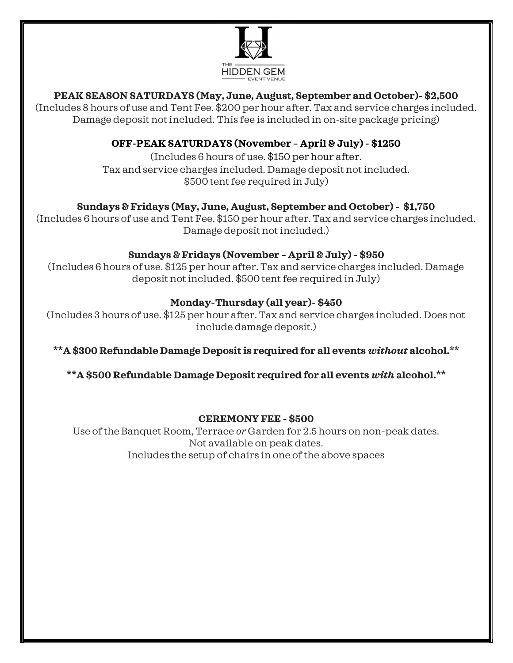

## PEAK SEASON SATURDAYS (May, June, August, September and October)- \$2,500

(Includes 8 hours of use and Tent Fee. \$200 per hour after. Tax and service charges included. Damage deposit not included. This fee is included in on-site package pricing)

## OFF-PEAK SATURDAYS (November – April & July) - \$1250

(Includes 6 hours of use. \$150 per hour after. Tax and service charges included. Damage deposit not included. \$500 tent fee required in July)

## Sundays & Fridays (May, June, August, September and October) - \$1,750

(Includes 6 hours of use and Tent Fee. \$150 per hour after. Tax and service charges included. Damage deposit not included.)

#### Sundays & Fridays (November – April & July) - \$950

(Includes 6 hours of use. \$125 per hour after. Tax and service charges included. Damage deposit not included. \$500 tent fee required in July)

#### Monday-Thursday (all year)- \$450

(Includes 3 hours of use. \$125 per hour after. Tax and service charges included. Does not include damage deposit.)

\*\*A \$300 Refundable Damage Deposit is required for all events without alcohol.\*\*

\*\*A \$500 Refundable Damage Deposit required for all events with alcohol.\*\*

## CEREMONY FEE - \$500

Use of the Banquet Room, Terrace or Garden for 2.5 hours on non-peak dates. Not available on peak dates. Includes the setup of chairs in one of the above spaces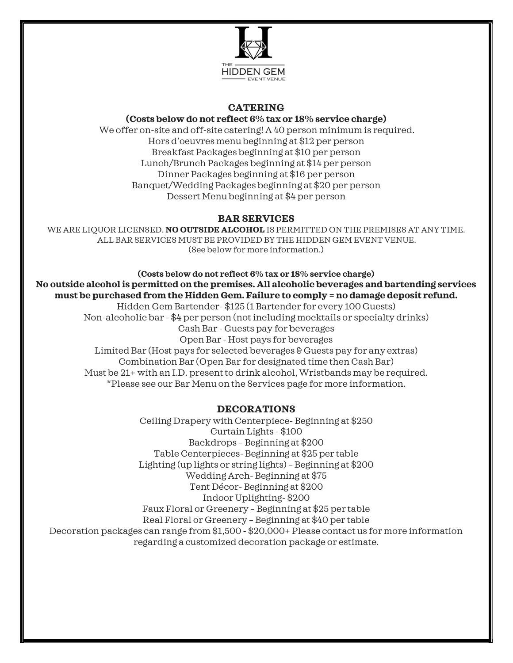

#### **CATERING**

#### (Costs below do not reflect 6% tax or 18% service charge)

We offer on-site and off-site catering! A 40 person minimum is required. Hors d'oeuvres menu beginning at \$12 per person Breakfast Packages beginning at \$10 per person Lunch/Brunch Packages beginning at \$14 per person Dinner Packages beginning at \$16 per person Banquet/Wedding Packages beginning at \$20 per person Dessert Menu beginning at \$4 per person

#### BAR SERVICES

WE ARE LIQUOR LICENSED. NO OUTSIDE ALCOHOL IS PERMITTED ON THE PREMISES AT ANY TIME. ALL BAR SERVICES MUST BE PROVIDED BY THE HIDDEN GEM EVENT VENUE. (See below for more information.)

(Costs below do not reflect 6% tax or 18% service charge) No outside alcohol is permitted on the premises. All alcoholic beverages and bartending services must be purchased from the Hidden Gem. Failure to comply = no damage deposit refund. Hidden Gem Bartender- \$125 (1 Bartender for every 100 Guests) Non-alcoholic bar - \$4 per person (not including mocktails or specialty drinks) Cash Bar - Guests pay for beverages Open Bar - Host pays for beverages Limited Bar (Host pays for selected beverages & Guests pay for any extras) Combination Bar (Open Bar for designated time then Cash Bar) Must be 21+ with an I.D. present to drink alcohol, Wristbands may be required. \*Please see our Bar Menu on the Services page for more information.

#### DECORATIONS

Ceiling Drapery with Centerpiece- Beginning at \$250 Curtain Lights - \$100 Backdrops – Beginning at \$200 Table Centerpieces- Beginning at \$25 per table Lighting (up lights or string lights) – Beginning at \$200 Wedding Arch- Beginning at \$75 Tent Décor- Beginning at \$200 Indoor Uplighting- \$200 Faux Floral or Greenery – Beginning at \$25 per table Real Floral or Greenery – Beginning at \$40 per table Decoration packages can range from \$1,500 - \$20,000+ Please contact us for more information regarding a customized decoration package or estimate.